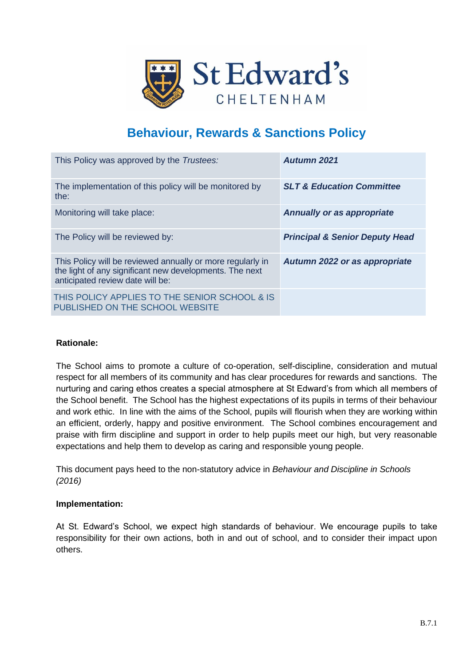

## **Behaviour, Rewards & Sanctions Policy**

| This Policy was approved by the Trustees:                                                                                                                 | Autumn 2021                               |
|-----------------------------------------------------------------------------------------------------------------------------------------------------------|-------------------------------------------|
| The implementation of this policy will be monitored by<br>the:                                                                                            | <b>SLT &amp; Education Committee</b>      |
| Monitoring will take place:                                                                                                                               | <b>Annually or as appropriate</b>         |
| The Policy will be reviewed by:                                                                                                                           | <b>Principal &amp; Senior Deputy Head</b> |
| This Policy will be reviewed annually or more regularly in<br>the light of any significant new developments. The next<br>anticipated review date will be: | Autumn 2022 or as appropriate             |
| THIS POLICY APPLIES TO THE SENIOR SCHOOL & IS<br>PUBLISHED ON THE SCHOOL WEBSITE                                                                          |                                           |

#### **Rationale:**

The School aims to promote a culture of co-operation, self-discipline, consideration and mutual respect for all members of its community and has clear procedures for rewards and sanctions. The nurturing and caring ethos creates a special atmosphere at St Edward's from which all members of the School benefit. The School has the highest expectations of its pupils in terms of their behaviour and work ethic. In line with the aims of the School, pupils will flourish when they are working within an efficient, orderly, happy and positive environment. The School combines encouragement and praise with firm discipline and support in order to help pupils meet our high, but very reasonable expectations and help them to develop as caring and responsible young people.

This document pays heed to the non-statutory advice in *Behaviour and Discipline in Schools (2016)*

#### **Implementation:**

At St. Edward's School, we expect high standards of behaviour. We encourage pupils to take responsibility for their own actions, both in and out of school, and to consider their impact upon others.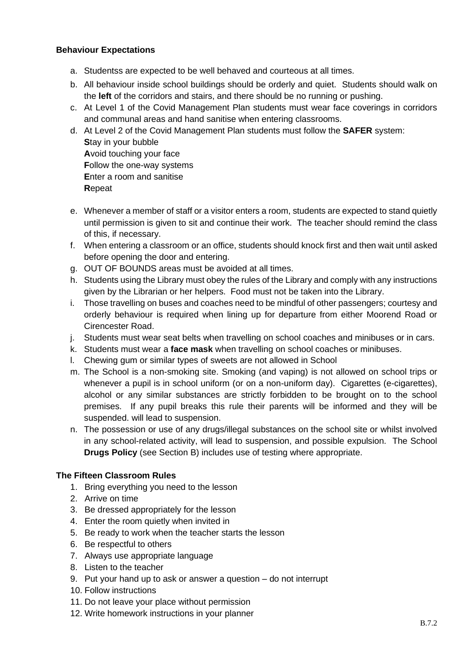#### **Behaviour Expectations**

- a. Studentss are expected to be well behaved and courteous at all times.
- b. All behaviour inside school buildings should be orderly and quiet. Students should walk on the **left** of the corridors and stairs, and there should be no running or pushing.
- c. At Level 1 of the Covid Management Plan students must wear face coverings in corridors and communal areas and hand sanitise when entering classrooms.
- d. At Level 2 of the Covid Management Plan students must follow the **SAFER** system: **S**tay in your bubble **A**void touching your face **F**ollow the one-way systems **E**nter a room and sanitise **R**epeat
- e. Whenever a member of staff or a visitor enters a room, students are expected to stand quietly until permission is given to sit and continue their work. The teacher should remind the class of this, if necessary.
- f. When entering a classroom or an office, students should knock first and then wait until asked before opening the door and entering.
- g. OUT OF BOUNDS areas must be avoided at all times.
- h. Students using the Library must obey the rules of the Library and comply with any instructions given by the Librarian or her helpers. Food must not be taken into the Library.
- i. Those travelling on buses and coaches need to be mindful of other passengers; courtesy and orderly behaviour is required when lining up for departure from either Moorend Road or Cirencester Road.
- j. Students must wear seat belts when travelling on school coaches and minibuses or in cars.
- k. Students must wear a **face mask** when travelling on school coaches or minibuses.
- l. Chewing gum or similar types of sweets are not allowed in School
- m. The School is a non-smoking site. Smoking (and vaping) is not allowed on school trips or whenever a pupil is in school uniform (or on a non-uniform day). Cigarettes (e-cigarettes), alcohol or any similar substances are strictly forbidden to be brought on to the school premises. If any pupil breaks this rule their parents will be informed and they will be suspended. will lead to suspension.
- n. The possession or use of any drugs/illegal substances on the school site or whilst involved in any school-related activity, will lead to suspension, and possible expulsion. The School **Drugs Policy** (see Section B) includes use of testing where appropriate.

#### **The Fifteen Classroom Rules**

- 1. Bring everything you need to the lesson
- 2. Arrive on time
- 3. Be dressed appropriately for the lesson
- 4. Enter the room quietly when invited in
- 5. Be ready to work when the teacher starts the lesson
- 6. Be respectful to others
- 7. Always use appropriate language
- 8. Listen to the teacher
- 9. Put your hand up to ask or answer a question do not interrupt
- 10. Follow instructions
- 11. Do not leave your place without permission
- 12. Write homework instructions in your planner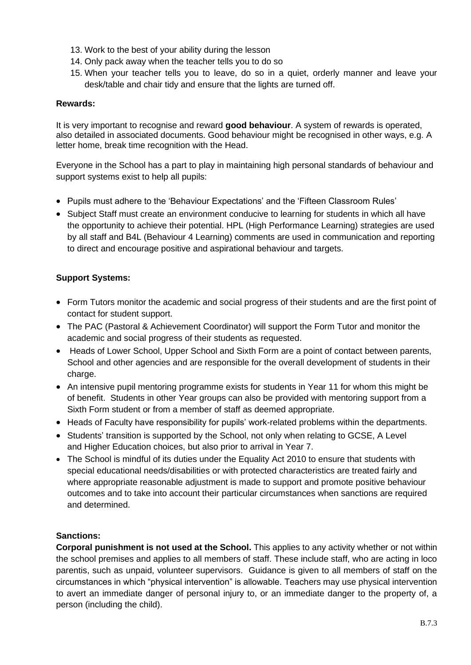- 13. Work to the best of your ability during the lesson
- 14. Only pack away when the teacher tells you to do so
- 15. When your teacher tells you to leave, do so in a quiet, orderly manner and leave your desk/table and chair tidy and ensure that the lights are turned off.

#### **Rewards:**

It is very important to recognise and reward **good behaviour**. A system of rewards is operated, also detailed in associated documents. Good behaviour might be recognised in other ways, e.g. A letter home, break time recognition with the Head.

Everyone in the School has a part to play in maintaining high personal standards of behaviour and support systems exist to help all pupils:

- Pupils must adhere to the 'Behaviour Expectations' and the 'Fifteen Classroom Rules'
- Subject Staff must create an environment conducive to learning for students in which all have the opportunity to achieve their potential. HPL (High Performance Learning) strategies are used by all staff and B4L (Behaviour 4 Learning) comments are used in communication and reporting to direct and encourage positive and aspirational behaviour and targets.

#### **Support Systems:**

- Form Tutors monitor the academic and social progress of their students and are the first point of contact for student support.
- The PAC (Pastoral & Achievement Coordinator) will support the Form Tutor and monitor the academic and social progress of their students as requested.
- Heads of Lower School, Upper School and Sixth Form are a point of contact between parents, School and other agencies and are responsible for the overall development of students in their charge.
- An intensive pupil mentoring programme exists for students in Year 11 for whom this might be of benefit. Students in other Year groups can also be provided with mentoring support from a Sixth Form student or from a member of staff as deemed appropriate.
- Heads of Faculty have responsibility for pupils' work-related problems within the departments.
- Students' transition is supported by the School, not only when relating to GCSE, A Level and Higher Education choices, but also prior to arrival in Year 7.
- The School is mindful of its duties under the Equality Act 2010 to ensure that students with special educational needs/disabilities or with protected characteristics are treated fairly and where appropriate reasonable adjustment is made to support and promote positive behaviour outcomes and to take into account their particular circumstances when sanctions are required and determined.

#### **Sanctions:**

**Corporal punishment is not used at the School.** This applies to any activity whether or not within the school premises and applies to all members of staff. These include staff, who are acting in loco parentis, such as unpaid, volunteer supervisors. Guidance is given to all members of staff on the circumstances in which "physical intervention" is allowable. Teachers may use physical intervention to avert an immediate danger of personal injury to, or an immediate danger to the property of, a person (including the child).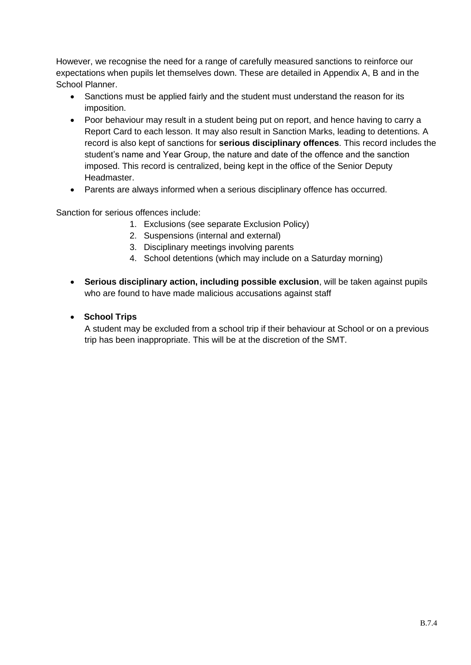However, we recognise the need for a range of carefully measured sanctions to reinforce our expectations when pupils let themselves down. These are detailed in Appendix A, B and in the School Planner.

- Sanctions must be applied fairly and the student must understand the reason for its imposition.
- Poor behaviour may result in a student being put on report, and hence having to carry a Report Card to each lesson. It may also result in Sanction Marks, leading to detentions. A record is also kept of sanctions for **serious disciplinary offences**. This record includes the student's name and Year Group, the nature and date of the offence and the sanction imposed. This record is centralized, being kept in the office of the Senior Deputy Headmaster.
- Parents are always informed when a serious disciplinary offence has occurred.

Sanction for serious offences include:

- 1. Exclusions (see separate Exclusion Policy)
- 2. Suspensions (internal and external)
- 3. Disciplinary meetings involving parents
- 4. School detentions (which may include on a Saturday morning)
- **Serious disciplinary action, including possible exclusion**, will be taken against pupils who are found to have made malicious accusations against staff

### • **School Trips**

A student may be excluded from a school trip if their behaviour at School or on a previous trip has been inappropriate. This will be at the discretion of the SMT.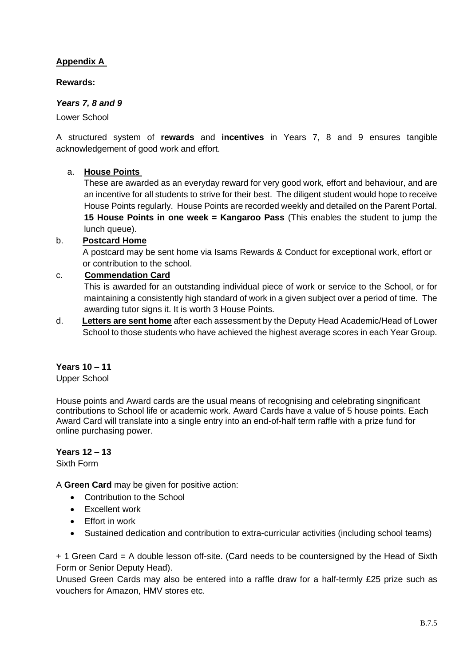## **Appendix A**

#### **Rewards:**

#### *Years 7, 8 and 9*

Lower School

A structured system of **rewards** and **incentives** in Years 7, 8 and 9 ensures tangible acknowledgement of good work and effort.

#### a. **House Points**

These are awarded as an everyday reward for very good work, effort and behaviour, and are an incentive for all students to strive for their best. The diligent student would hope to receive House Points regularly. House Points are recorded weekly and detailed on the Parent Portal. **15 House Points in one week = Kangaroo Pass** (This enables the student to jump the lunch queue).

#### b. **Postcard Home**

 A postcard may be sent home via Isams Rewards & Conduct for exceptional work, effort or or contribution to the school.

#### c. **Commendation Card**

This is awarded for an outstanding individual piece of work or service to the School, or for maintaining a consistently high standard of work in a given subject over a period of time. The awarding tutor signs it. It is worth 3 House Points.

d. **Letters are sent home** after each assessment by the Deputy Head Academic/Head of Lower School to those students who have achieved the highest average scores in each Year Group.

#### **Years 10 – 11**

Upper School

House points and Award cards are the usual means of recognising and celebrating singnificant contributions to School life or academic work. Award Cards have a value of 5 house points. Each Award Card will translate into a single entry into an end-of-half term raffle with a prize fund for online purchasing power.

#### **Years 12 – 13**

Sixth Form

A **Green Card** may be given for positive action:

- Contribution to the School
- Excellent work
- Effort in work
- Sustained dedication and contribution to extra-curricular activities (including school teams)

+ 1 Green Card = A double lesson off-site. (Card needs to be countersigned by the Head of Sixth Form or Senior Deputy Head).

Unused Green Cards may also be entered into a raffle draw for a half-termly £25 prize such as vouchers for Amazon, HMV stores etc.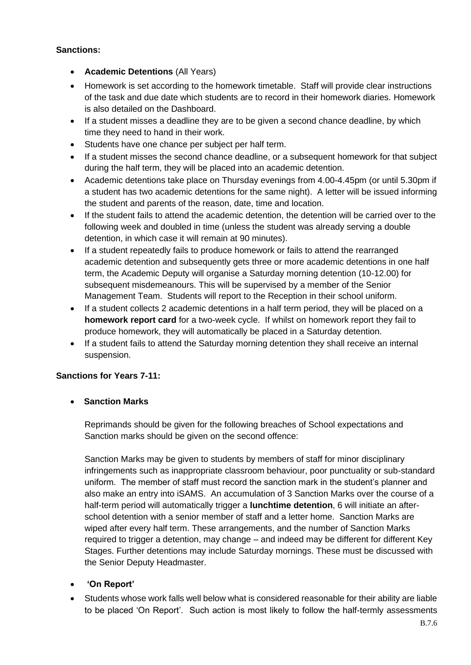#### **Sanctions:**

- **Academic Detentions** (All Years)
- Homework is set according to the homework timetable. Staff will provide clear instructions of the task and due date which students are to record in their homework diaries. Homework is also detailed on the Dashboard.
- If a student misses a deadline they are to be given a second chance deadline, by which time they need to hand in their work.
- Students have one chance per subject per half term.
- If a student misses the second chance deadline, or a subsequent homework for that subject during the half term, they will be placed into an academic detention.
- Academic detentions take place on Thursday evenings from 4.00-4.45pm (or until 5.30pm if a student has two academic detentions for the same night). A letter will be issued informing the student and parents of the reason, date, time and location.
- If the student fails to attend the academic detention, the detention will be carried over to the following week and doubled in time (unless the student was already serving a double detention, in which case it will remain at 90 minutes).
- If a student repeatedly fails to produce homework or fails to attend the rearranged academic detention and subsequently gets three or more academic detentions in one half term, the Academic Deputy will organise a Saturday morning detention (10-12.00) for subsequent misdemeanours. This will be supervised by a member of the Senior Management Team. Students will report to the Reception in their school uniform.
- If a student collects 2 academic detentions in a half term period, they will be placed on a **homework report card** for a two-week cycle. If whilst on homework report they fail to produce homework, they will automatically be placed in a Saturday detention.
- If a student fails to attend the Saturday morning detention they shall receive an internal suspension.

## **Sanctions for Years 7-11:**

• **Sanction Marks** 

Reprimands should be given for the following breaches of School expectations and Sanction marks should be given on the second offence:

Sanction Marks may be given to students by members of staff for minor disciplinary infringements such as inappropriate classroom behaviour, poor punctuality or sub-standard uniform. The member of staff must record the sanction mark in the student's planner and also make an entry into iSAMS. An accumulation of 3 Sanction Marks over the course of a half-term period will automatically trigger a **lunchtime detention**, 6 will initiate an afterschool detention with a senior member of staff and a letter home. Sanction Marks are wiped after every half term. These arrangements, and the number of Sanction Marks required to trigger a detention, may change – and indeed may be different for different Key Stages. Further detentions may include Saturday mornings. These must be discussed with the Senior Deputy Headmaster.

## • **'On Report'**

• Students whose work falls well below what is considered reasonable for their ability are liable to be placed 'On Report'. Such action is most likely to follow the half-termly assessments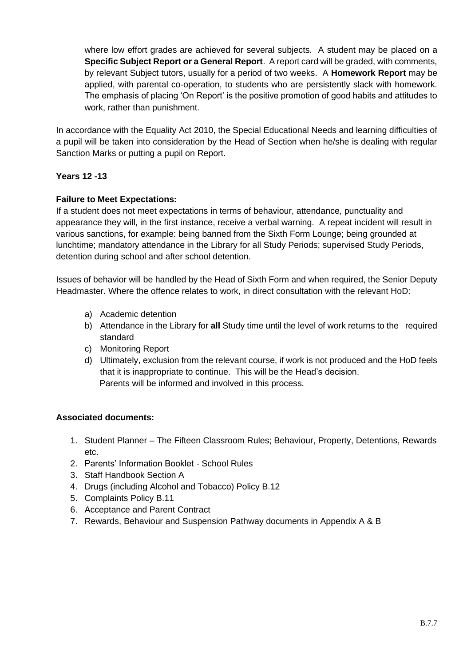where low effort grades are achieved for several subjects. A student may be placed on a **Specific Subject Report or a General Report**. A report card will be graded, with comments, by relevant Subject tutors, usually for a period of two weeks. A **Homework Report** may be applied, with parental co-operation, to students who are persistently slack with homework. The emphasis of placing 'On Report' is the positive promotion of good habits and attitudes to work, rather than punishment.

In accordance with the Equality Act 2010, the Special Educational Needs and learning difficulties of a pupil will be taken into consideration by the Head of Section when he/she is dealing with regular Sanction Marks or putting a pupil on Report.

#### **Years 12 -13**

#### **Failure to Meet Expectations:**

If a student does not meet expectations in terms of behaviour, attendance, punctuality and appearance they will, in the first instance, receive a verbal warning. A repeat incident will result in various sanctions, for example: being banned from the Sixth Form Lounge; being grounded at lunchtime; mandatory attendance in the Library for all Study Periods; supervised Study Periods, detention during school and after school detention.

Issues of behavior will be handled by the Head of Sixth Form and when required, the Senior Deputy Headmaster. Where the offence relates to work, in direct consultation with the relevant HoD:

- a) Academic detention
- b) Attendance in the Library for **all** Study time until the level of work returns to the required standard
- c) Monitoring Report
- d) Ultimately, exclusion from the relevant course, if work is not produced and the HoD feels that it is inappropriate to continue. This will be the Head's decision. Parents will be informed and involved in this process.

#### **Associated documents:**

- 1. Student Planner The Fifteen Classroom Rules; Behaviour, Property, Detentions, Rewards etc.
- 2. Parents' Information Booklet School Rules
- 3. Staff Handbook Section A
- 4. Drugs (including Alcohol and Tobacco) Policy B.12
- 5. Complaints Policy B.11
- 6. Acceptance and Parent Contract
- 7. Rewards, Behaviour and Suspension Pathway documents in Appendix A & B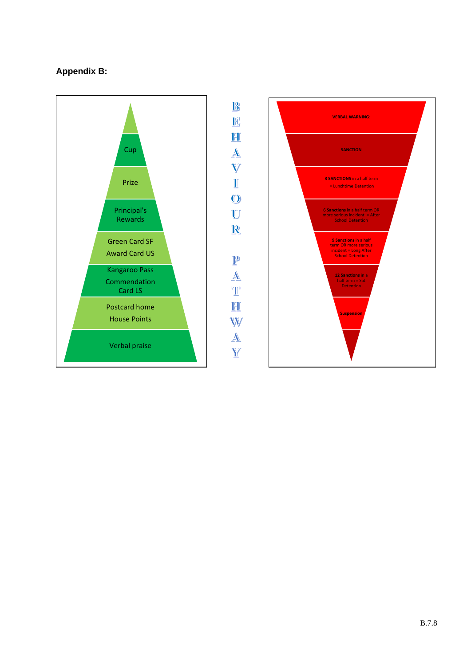## **Appendix B:**